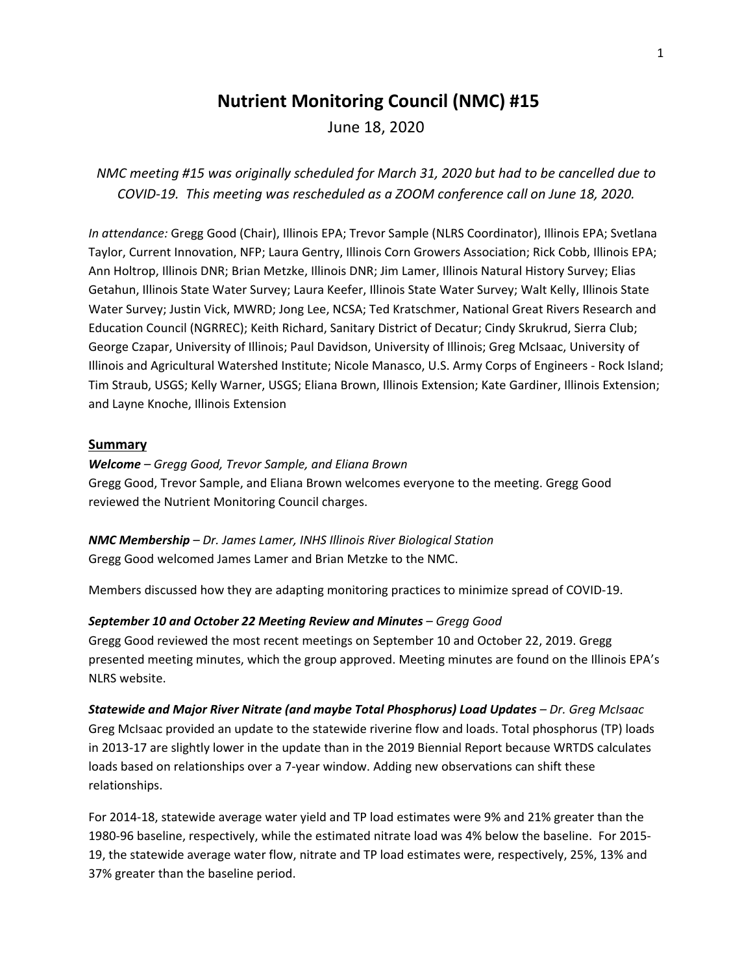# **Nutrient Monitoring Council (NMC) #15**

June 18, 2020

*NMC meeting #15 was originally scheduled for March 31, 2020 but had to be cancelled due to COVID-19. This meeting was rescheduled as a ZOOM conference call on June 18, 2020.*

*In attendance:* Gregg Good (Chair), Illinois EPA; Trevor Sample (NLRS Coordinator), Illinois EPA; Svetlana Taylor, Current Innovation, NFP; Laura Gentry, Illinois Corn Growers Association; Rick Cobb, Illinois EPA; Ann Holtrop, Illinois DNR; Brian Metzke, Illinois DNR; Jim Lamer, Illinois Natural History Survey; Elias Getahun, Illinois State Water Survey; Laura Keefer, Illinois State Water Survey; Walt Kelly, Illinois State Water Survey; Justin Vick, MWRD; Jong Lee, NCSA; Ted Kratschmer, National Great Rivers Research and Education Council (NGRREC); Keith Richard, Sanitary District of Decatur; Cindy Skrukrud, Sierra Club; George Czapar, University of Illinois; Paul Davidson, University of Illinois; Greg McIsaac, University of Illinois and Agricultural Watershed Institute; Nicole Manasco, U.S. Army Corps of Engineers - Rock Island; Tim Straub, USGS; Kelly Warner, USGS; Eliana Brown, Illinois Extension; Kate Gardiner, Illinois Extension; and Layne Knoche, Illinois Extension

## **Summary**

*Welcome – Gregg Good, Trevor Sample, and Eliana Brown* Gregg Good, Trevor Sample, and Eliana Brown welcomes everyone to the meeting. Gregg Good reviewed the Nutrient Monitoring Council charges.

*NMC Membership – Dr. James Lamer, INHS Illinois River Biological Station* Gregg Good welcomed James Lamer and Brian Metzke to the NMC.

Members discussed how they are adapting monitoring practices to minimize spread of COVID-19.

### *September 10 and October 22 Meeting Review and Minutes – Gregg Good*

Gregg Good reviewed the most recent meetings on September 10 and October 22, 2019. Gregg presented meeting minutes, which the group approved. Meeting minutes are found on the Illinois EPA's NLRS website.

*Statewide and Major River Nitrate (and maybe Total Phosphorus) Load Updates – Dr. Greg McIsaac* Greg McIsaac provided an update to the statewide riverine flow and loads. Total phosphorus (TP) loads in 2013-17 are slightly lower in the update than in the 2019 Biennial Report because WRTDS calculates loads based on relationships over a 7-year window. Adding new observations can shift these relationships.

For 2014-18, statewide average water yield and TP load estimates were 9% and 21% greater than the 1980-96 baseline, respectively, while the estimated nitrate load was 4% below the baseline. For 2015- 19, the statewide average water flow, nitrate and TP load estimates were, respectively, 25%, 13% and 37% greater than the baseline period.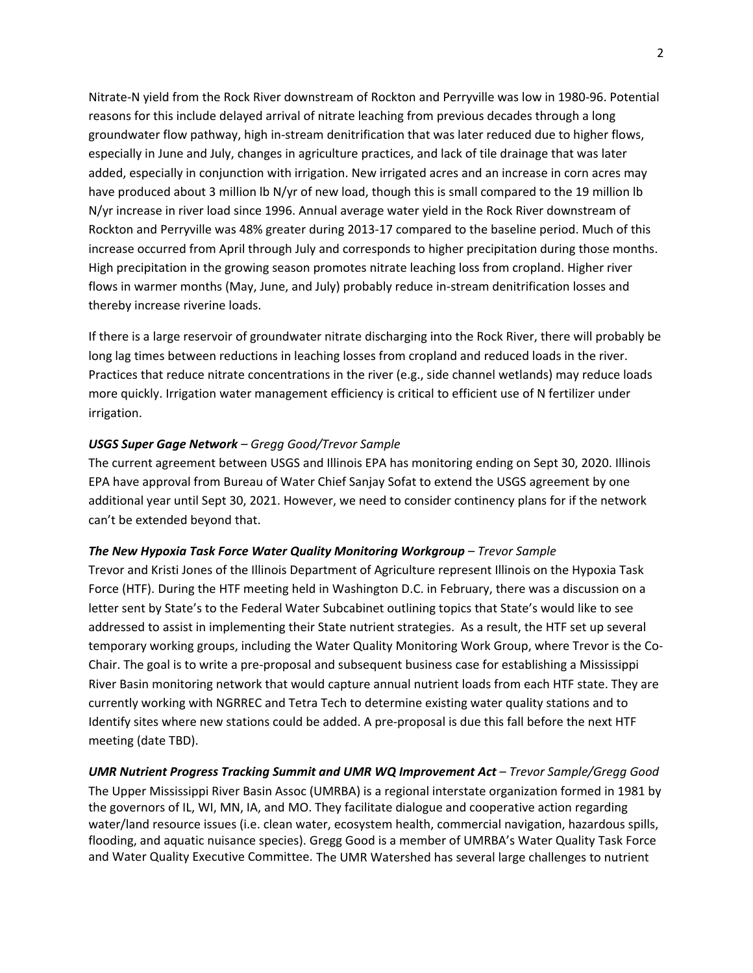Nitrate-N yield from the Rock River downstream of Rockton and Perryville was low in 1980-96. Potential reasons for this include delayed arrival of nitrate leaching from previous decades through a long groundwater flow pathway, high in-stream denitrification that was later reduced due to higher flows, especially in June and July, changes in agriculture practices, and lack of tile drainage that was later added, especially in conjunction with irrigation. New irrigated acres and an increase in corn acres may have produced about 3 million lb N/yr of new load, though this is small compared to the 19 million lb N/yr increase in river load since 1996. Annual average water yield in the Rock River downstream of Rockton and Perryville was 48% greater during 2013-17 compared to the baseline period. Much of this increase occurred from April through July and corresponds to higher precipitation during those months. High precipitation in the growing season promotes nitrate leaching loss from cropland. Higher river flows in warmer months (May, June, and July) probably reduce in-stream denitrification losses and thereby increase riverine loads.

If there is a large reservoir of groundwater nitrate discharging into the Rock River, there will probably be long lag times between reductions in leaching losses from cropland and reduced loads in the river. Practices that reduce nitrate concentrations in the river (e.g., side channel wetlands) may reduce loads more quickly. Irrigation water management efficiency is critical to efficient use of N fertilizer under irrigation.

# *USGS Super Gage Network – Gregg Good/Trevor Sample*

The current agreement between USGS and Illinois EPA has monitoring ending on Sept 30, 2020. Illinois EPA have approval from Bureau of Water Chief Sanjay Sofat to extend the USGS agreement by one additional year until Sept 30, 2021. However, we need to consider continency plans for if the network can't be extended beyond that.

## *The New Hypoxia Task Force Water Quality Monitoring Workgroup – Trevor Sample*

Trevor and Kristi Jones of the Illinois Department of Agriculture represent Illinois on the Hypoxia Task Force (HTF). During the HTF meeting held in Washington D.C. in February, there was a discussion on a letter sent by State's to the Federal Water Subcabinet outlining topics that State's would like to see addressed to assist in implementing their State nutrient strategies. As a result, the HTF set up several temporary working groups, including the Water Quality Monitoring Work Group, where Trevor is the Co-Chair. The goal is to write a pre-proposal and subsequent business case for establishing a Mississippi River Basin monitoring network that would capture annual nutrient loads from each HTF state. They are currently working with NGRREC and Tetra Tech to determine existing water quality stations and to Identify sites where new stations could be added. A pre-proposal is due this fall before the next HTF meeting (date TBD).

*UMR Nutrient Progress Tracking Summit and UMR WQ Improvement Act – Trevor Sample/Gregg Good* The Upper Mississippi River Basin Assoc (UMRBA) is a regional interstate organization formed in 1981 by the governors of IL, WI, MN, IA, and MO. They facilitate dialogue and cooperative action regarding water/land resource issues (i.e. clean water, ecosystem health, commercial navigation, hazardous spills, flooding, and aquatic nuisance species). Gregg Good is a member of UMRBA's Water Quality Task Force and Water Quality Executive Committee. The UMR Watershed has several large challenges to nutrient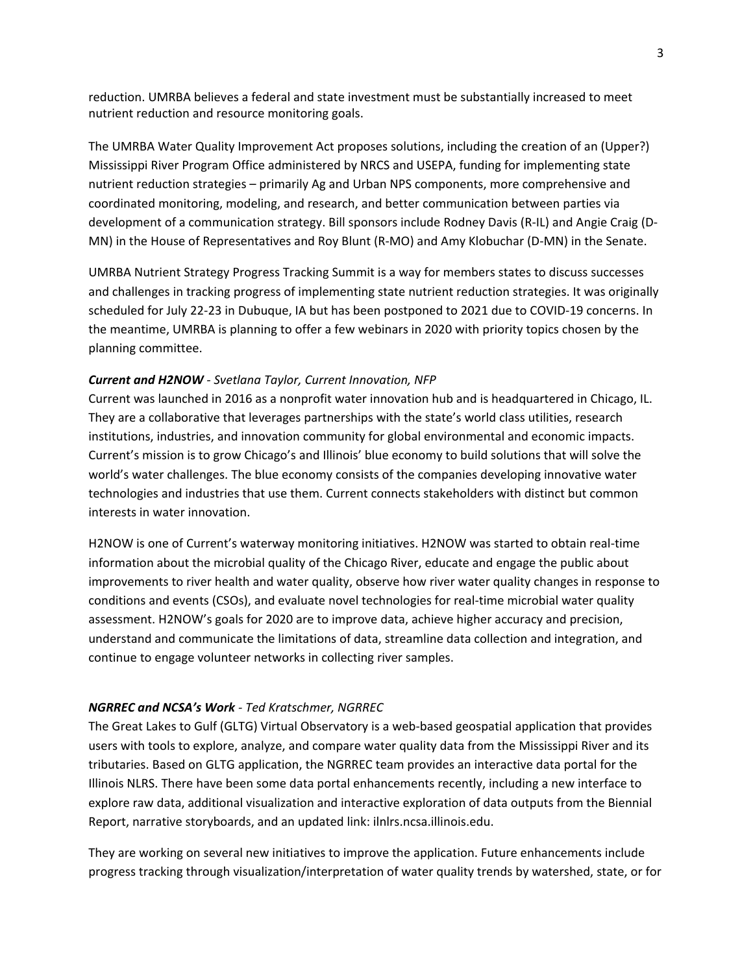reduction. UMRBA believes a federal and state investment must be substantially increased to meet nutrient reduction and resource monitoring goals.

The UMRBA Water Quality Improvement Act proposes solutions, including the creation of an (Upper?) Mississippi River Program Office administered by NRCS and USEPA, funding for implementing state nutrient reduction strategies – primarily Ag and Urban NPS components, more comprehensive and coordinated monitoring, modeling, and research, and better communication between parties via development of a communication strategy. Bill sponsors include Rodney Davis (R-IL) and Angie Craig (D-MN) in the House of Representatives and Roy Blunt (R-MO) and Amy Klobuchar (D-MN) in the Senate.

UMRBA Nutrient Strategy Progress Tracking Summit is a way for members states to discuss successes and challenges in tracking progress of implementing state nutrient reduction strategies. It was originally scheduled for July 22-23 in Dubuque, IA but has been postponed to 2021 due to COVID-19 concerns. In the meantime, UMRBA is planning to offer a few webinars in 2020 with priority topics chosen by the planning committee.

#### *Current and H2NOW - Svetlana Taylor, Current Innovation, NFP*

Current was launched in 2016 as a nonprofit water innovation hub and is headquartered in Chicago, IL. They are a collaborative that leverages partnerships with the state's world class utilities, research institutions, industries, and innovation community for global environmental and economic impacts. Current's mission is to grow Chicago's and Illinois' blue economy to build solutions that will solve the world's water challenges. The blue economy consists of the companies developing innovative water technologies and industries that use them. Current connects stakeholders with distinct but common interests in water innovation.

H2NOW is one of Current's waterway monitoring initiatives. H2NOW was started to obtain real-time information about the microbial quality of the Chicago River, educate and engage the public about improvements to river health and water quality, observe how river water quality changes in response to conditions and events (CSOs), and evaluate novel technologies for real-time microbial water quality assessment. H2NOW's goals for 2020 are to improve data, achieve higher accuracy and precision, understand and communicate the limitations of data, streamline data collection and integration, and continue to engage volunteer networks in collecting river samples.

#### *NGRREC and NCSA's Work - Ted Kratschmer, NGRREC*

The Great Lakes to Gulf (GLTG) Virtual Observatory is a web-based geospatial application that provides users with tools to explore, analyze, and compare water quality data from the Mississippi River and its tributaries. Based on GLTG application, the NGRREC team provides an interactive data portal for the Illinois NLRS. There have been some data portal enhancements recently, including a new interface to explore raw data, additional visualization and interactive exploration of data outputs from the Biennial Report, narrative storyboards, and an updated link: ilnlrs.ncsa.illinois.edu.

They are working on several new initiatives to improve the application. Future enhancements include progress tracking through visualization/interpretation of water quality trends by watershed, state, or for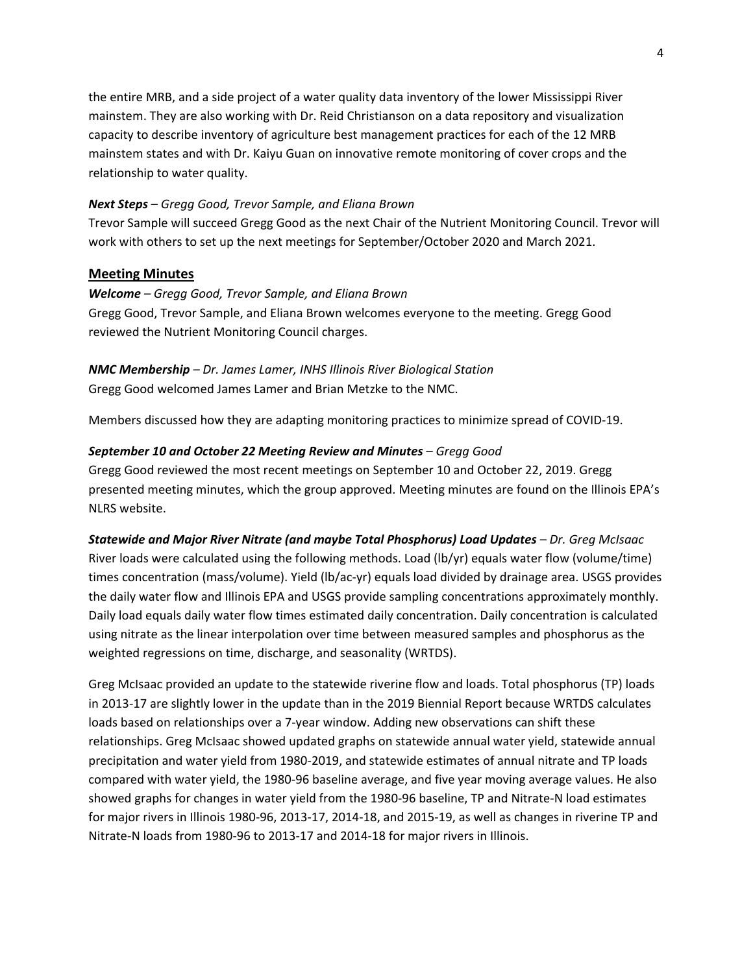the entire MRB, and a side project of a water quality data inventory of the lower Mississippi River mainstem. They are also working with Dr. Reid Christianson on a data repository and visualization capacity to describe inventory of agriculture best management practices for each of the 12 MRB mainstem states and with Dr. Kaiyu Guan on innovative remote monitoring of cover crops and the relationship to water quality.

# *Next Steps – Gregg Good, Trevor Sample, and Eliana Brown*

Trevor Sample will succeed Gregg Good as the next Chair of the Nutrient Monitoring Council. Trevor will work with others to set up the next meetings for September/October 2020 and March 2021.

# **Meeting Minutes**

## *Welcome – Gregg Good, Trevor Sample, and Eliana Brown*

Gregg Good, Trevor Sample, and Eliana Brown welcomes everyone to the meeting. Gregg Good reviewed the Nutrient Monitoring Council charges.

# *NMC Membership – Dr. James Lamer, INHS Illinois River Biological Station* Gregg Good welcomed James Lamer and Brian Metzke to the NMC.

Members discussed how they are adapting monitoring practices to minimize spread of COVID-19.

# *September 10 and October 22 Meeting Review and Minutes – Gregg Good*

Gregg Good reviewed the most recent meetings on September 10 and October 22, 2019. Gregg presented meeting minutes, which the group approved. Meeting minutes are found on the Illinois EPA's NLRS website.

# *Statewide and Major River Nitrate (and maybe Total Phosphorus) Load Updates – Dr. Greg McIsaac* River loads were calculated using the following methods. Load (lb/yr) equals water flow (volume/time) times concentration (mass/volume). Yield (lb/ac-yr) equals load divided by drainage area. USGS provides the daily water flow and Illinois EPA and USGS provide sampling concentrations approximately monthly. Daily load equals daily water flow times estimated daily concentration. Daily concentration is calculated using nitrate as the linear interpolation over time between measured samples and phosphorus as the weighted regressions on time, discharge, and seasonality (WRTDS).

Greg McIsaac provided an update to the statewide riverine flow and loads. Total phosphorus (TP) loads in 2013-17 are slightly lower in the update than in the 2019 Biennial Report because WRTDS calculates loads based on relationships over a 7-year window. Adding new observations can shift these relationships. Greg McIsaac showed updated graphs on statewide annual water yield, statewide annual precipitation and water yield from 1980-2019, and statewide estimates of annual nitrate and TP loads compared with water yield, the 1980-96 baseline average, and five year moving average values. He also showed graphs for changes in water yield from the 1980-96 baseline, TP and Nitrate-N load estimates for major rivers in Illinois 1980-96, 2013-17, 2014-18, and 2015-19, as well as changes in riverine TP and Nitrate-N loads from 1980-96 to 2013-17 and 2014-18 for major rivers in Illinois.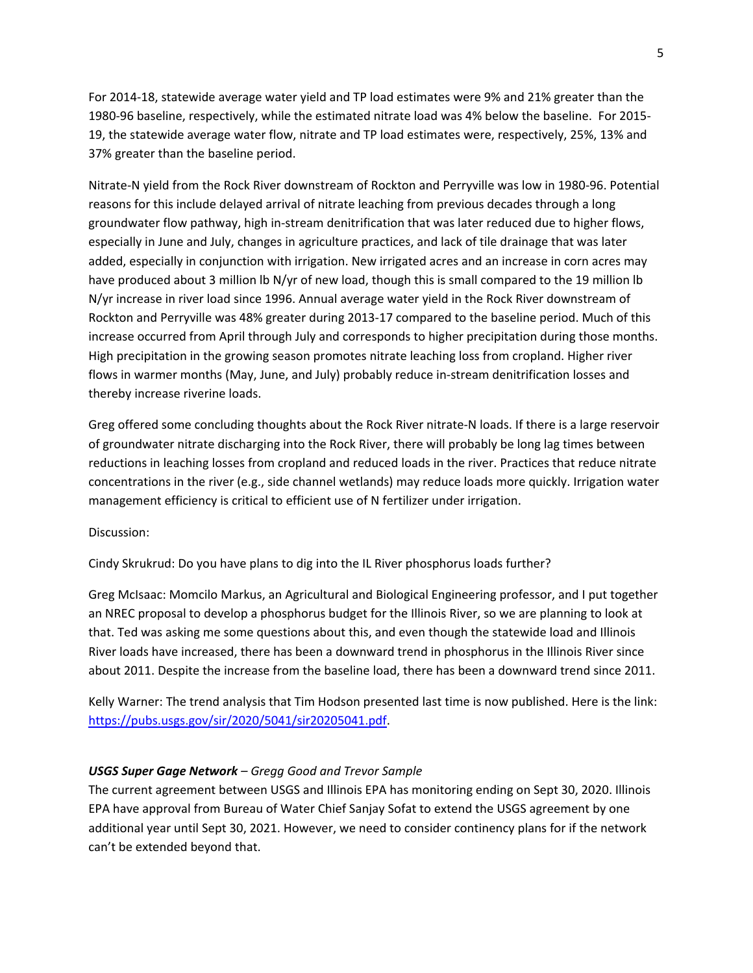For 2014-18, statewide average water yield and TP load estimates were 9% and 21% greater than the 1980-96 baseline, respectively, while the estimated nitrate load was 4% below the baseline. For 2015- 19, the statewide average water flow, nitrate and TP load estimates were, respectively, 25%, 13% and 37% greater than the baseline period.

Nitrate-N yield from the Rock River downstream of Rockton and Perryville was low in 1980-96. Potential reasons for this include delayed arrival of nitrate leaching from previous decades through a long groundwater flow pathway, high in-stream denitrification that was later reduced due to higher flows, especially in June and July, changes in agriculture practices, and lack of tile drainage that was later added, especially in conjunction with irrigation. New irrigated acres and an increase in corn acres may have produced about 3 million lb N/yr of new load, though this is small compared to the 19 million lb N/yr increase in river load since 1996. Annual average water yield in the Rock River downstream of Rockton and Perryville was 48% greater during 2013-17 compared to the baseline period. Much of this increase occurred from April through July and corresponds to higher precipitation during those months. High precipitation in the growing season promotes nitrate leaching loss from cropland. Higher river flows in warmer months (May, June, and July) probably reduce in-stream denitrification losses and thereby increase riverine loads.

Greg offered some concluding thoughts about the Rock River nitrate-N loads. If there is a large reservoir of groundwater nitrate discharging into the Rock River, there will probably be long lag times between reductions in leaching losses from cropland and reduced loads in the river. Practices that reduce nitrate concentrations in the river (e.g., side channel wetlands) may reduce loads more quickly. Irrigation water management efficiency is critical to efficient use of N fertilizer under irrigation.

Discussion:

Cindy Skrukrud: Do you have plans to dig into the IL River phosphorus loads further?

Greg McIsaac: Momcilo Markus, an Agricultural and Biological Engineering professor, and I put together an NREC proposal to develop a phosphorus budget for the Illinois River, so we are planning to look at that. Ted was asking me some questions about this, and even though the statewide load and Illinois River loads have increased, there has been a downward trend in phosphorus in the Illinois River since about 2011. Despite the increase from the baseline load, there has been a downward trend since 2011.

Kelly Warner: The trend analysis that Tim Hodson presented last time is now published. Here is the link: [https://pubs.usgs.gov/sir/2020/5041/sir20205041.pdf.](https://pubs.usgs.gov/sir/2020/5041/sir20205041.pdf)

#### *USGS Super Gage Network – Gregg Good and Trevor Sample*

The current agreement between USGS and Illinois EPA has monitoring ending on Sept 30, 2020. Illinois EPA have approval from Bureau of Water Chief Sanjay Sofat to extend the USGS agreement by one additional year until Sept 30, 2021. However, we need to consider continency plans for if the network can't be extended beyond that.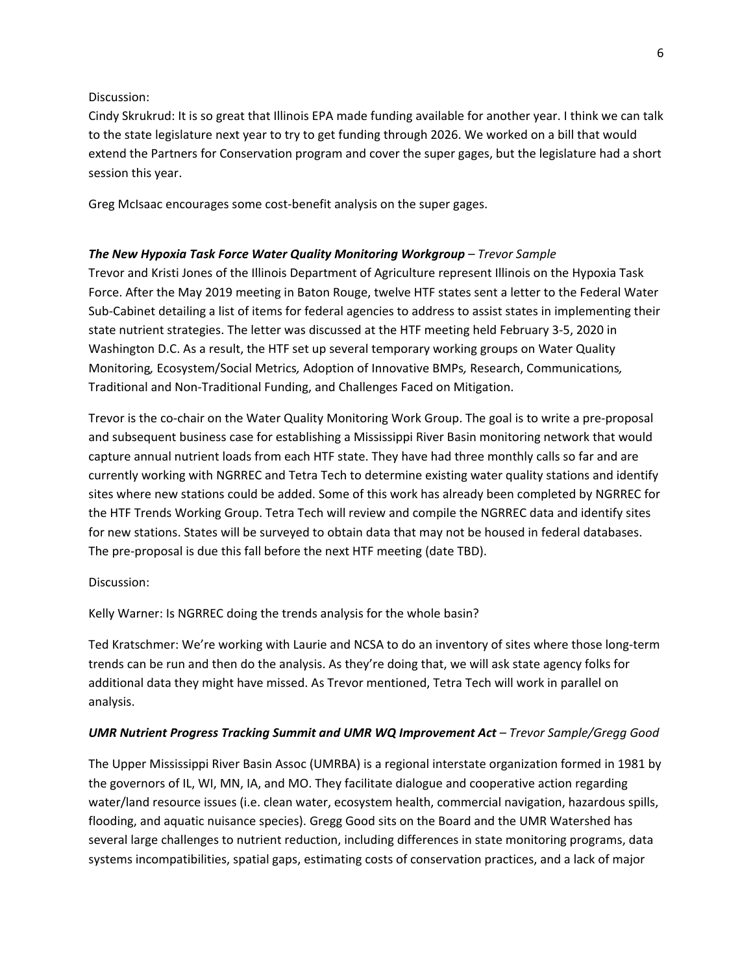### Discussion:

Cindy Skrukrud: It is so great that Illinois EPA made funding available for another year. I think we can talk to the state legislature next year to try to get funding through 2026. We worked on a bill that would extend the Partners for Conservation program and cover the super gages, but the legislature had a short session this year.

Greg McIsaac encourages some cost-benefit analysis on the super gages.

# *The New Hypoxia Task Force Water Quality Monitoring Workgroup – Trevor Sample*

Trevor and Kristi Jones of the Illinois Department of Agriculture represent Illinois on the Hypoxia Task Force. After the May 2019 meeting in Baton Rouge, twelve HTF states sent a letter to the Federal Water Sub-Cabinet detailing a list of items for federal agencies to address to assist states in implementing their state nutrient strategies. The letter was discussed at the HTF meeting held February 3-5, 2020 in Washington D.C. As a result, the HTF set up several temporary working groups on Water Quality Monitoring*,* Ecosystem/Social Metrics*,* Adoption of Innovative BMPs*,* Research, Communications*,* Traditional and Non-Traditional Funding, and Challenges Faced on Mitigation.

Trevor is the co-chair on the Water Quality Monitoring Work Group. The goal is to write a pre-proposal and subsequent business case for establishing a Mississippi River Basin monitoring network that would capture annual nutrient loads from each HTF state. They have had three monthly calls so far and are currently working with NGRREC and Tetra Tech to determine existing water quality stations and identify sites where new stations could be added. Some of this work has already been completed by NGRREC for the HTF Trends Working Group. Tetra Tech will review and compile the NGRREC data and identify sites for new stations. States will be surveyed to obtain data that may not be housed in federal databases. The pre-proposal is due this fall before the next HTF meeting (date TBD).

#### Discussion:

Kelly Warner: Is NGRREC doing the trends analysis for the whole basin?

Ted Kratschmer: We're working with Laurie and NCSA to do an inventory of sites where those long-term trends can be run and then do the analysis. As they're doing that, we will ask state agency folks for additional data they might have missed. As Trevor mentioned, Tetra Tech will work in parallel on analysis.

#### *UMR Nutrient Progress Tracking Summit and UMR WQ Improvement Act – Trevor Sample/Gregg Good*

The Upper Mississippi River Basin Assoc (UMRBA) is a regional interstate organization formed in 1981 by the governors of IL, WI, MN, IA, and MO. They facilitate dialogue and cooperative action regarding water/land resource issues (i.e. clean water, ecosystem health, commercial navigation, hazardous spills, flooding, and aquatic nuisance species). Gregg Good sits on the Board and the UMR Watershed has several large challenges to nutrient reduction, including differences in state monitoring programs, data systems incompatibilities, spatial gaps, estimating costs of conservation practices, and a lack of major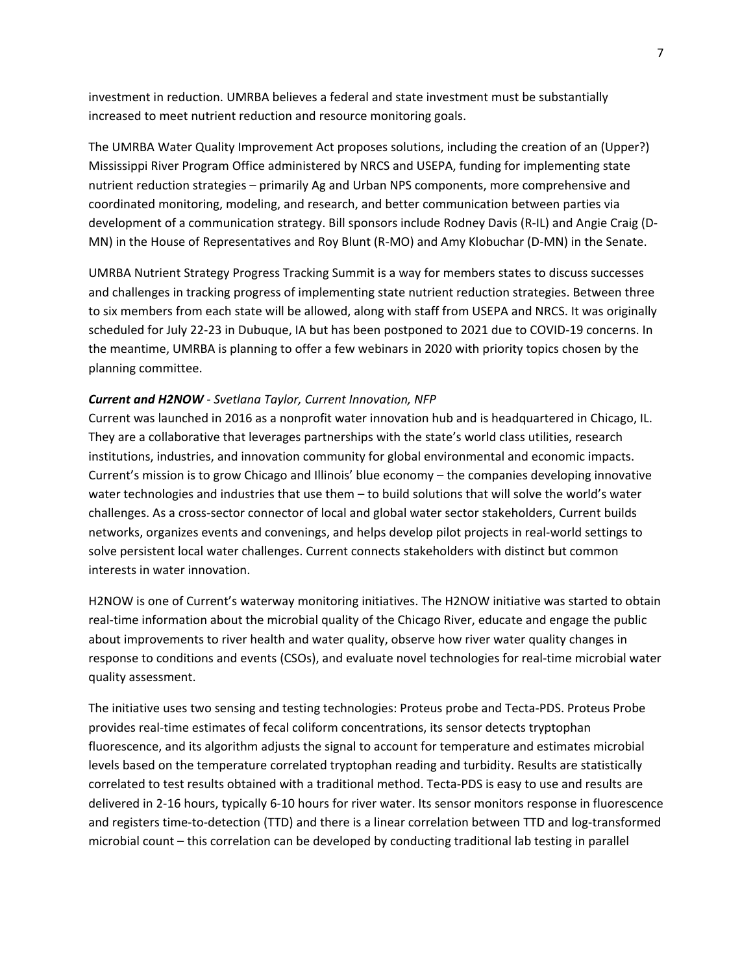investment in reduction. UMRBA believes a federal and state investment must be substantially increased to meet nutrient reduction and resource monitoring goals.

The UMRBA Water Quality Improvement Act proposes solutions, including the creation of an (Upper?) Mississippi River Program Office administered by NRCS and USEPA, funding for implementing state nutrient reduction strategies – primarily Ag and Urban NPS components, more comprehensive and coordinated monitoring, modeling, and research, and better communication between parties via development of a communication strategy. Bill sponsors include Rodney Davis (R-IL) and Angie Craig (D-MN) in the House of Representatives and Roy Blunt (R-MO) and Amy Klobuchar (D-MN) in the Senate.

UMRBA Nutrient Strategy Progress Tracking Summit is a way for members states to discuss successes and challenges in tracking progress of implementing state nutrient reduction strategies. Between three to six members from each state will be allowed, along with staff from USEPA and NRCS. It was originally scheduled for July 22-23 in Dubuque, IA but has been postponed to 2021 due to COVID-19 concerns. In the meantime, UMRBA is planning to offer a few webinars in 2020 with priority topics chosen by the planning committee.

## *Current and H2NOW - Svetlana Taylor, Current Innovation, NFP*

Current was launched in 2016 as a nonprofit water innovation hub and is headquartered in Chicago, IL. They are a collaborative that leverages partnerships with the state's world class utilities, research institutions, industries, and innovation community for global environmental and economic impacts. Current's mission is to grow Chicago and Illinois' blue economy – the companies developing innovative water technologies and industries that use them – to build solutions that will solve the world's water challenges. As a cross-sector connector of local and global water sector stakeholders, Current builds networks, organizes events and convenings, and helps develop pilot projects in real-world settings to solve persistent local water challenges. Current connects stakeholders with distinct but common interests in water innovation.

H2NOW is one of Current's waterway monitoring initiatives. The H2NOW initiative was started to obtain real-time information about the microbial quality of the Chicago River, educate and engage the public about improvements to river health and water quality, observe how river water quality changes in response to conditions and events (CSOs), and evaluate novel technologies for real-time microbial water quality assessment.

The initiative uses two sensing and testing technologies: Proteus probe and Tecta-PDS. Proteus Probe provides real-time estimates of fecal coliform concentrations, its sensor detects tryptophan fluorescence, and its algorithm adjusts the signal to account for temperature and estimates microbial levels based on the temperature correlated tryptophan reading and turbidity. Results are statistically correlated to test results obtained with a traditional method. Tecta-PDS is easy to use and results are delivered in 2-16 hours, typically 6-10 hours for river water. Its sensor monitors response in fluorescence and registers time-to-detection (TTD) and there is a linear correlation between TTD and log-transformed microbial count – this correlation can be developed by conducting traditional lab testing in parallel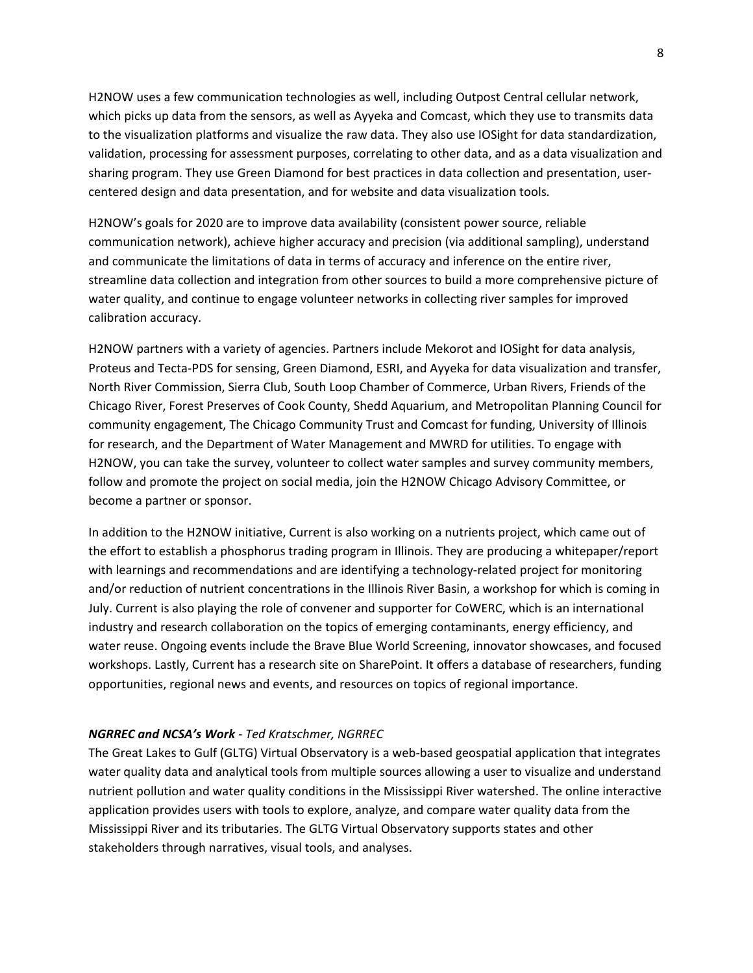H2NOW uses a few communication technologies as well, including Outpost Central cellular network, which picks up data from the sensors, as well as Ayyeka and Comcast, which they use to transmits data to the visualization platforms and visualize the raw data. They also use IOSight for data standardization, validation, processing for assessment purposes, correlating to other data, and as a data visualization and sharing program. They use Green Diamond for best practices in data collection and presentation, usercentered design and data presentation, and for website and data visualization tools*.*

H2NOW's goals for 2020 are to improve data availability (consistent power source, reliable communication network), achieve higher accuracy and precision (via additional sampling), understand and communicate the limitations of data in terms of accuracy and inference on the entire river, streamline data collection and integration from other sources to build a more comprehensive picture of water quality, and continue to engage volunteer networks in collecting river samples for improved calibration accuracy.

H2NOW partners with a variety of agencies. Partners include Mekorot and IOSight for data analysis, Proteus and Tecta-PDS for sensing, Green Diamond, ESRI, and Ayyeka for data visualization and transfer, North River Commission, Sierra Club, South Loop Chamber of Commerce, Urban Rivers, Friends of the Chicago River, Forest Preserves of Cook County, Shedd Aquarium, and Metropolitan Planning Council for community engagement, The Chicago Community Trust and Comcast for funding, University of Illinois for research, and the Department of Water Management and MWRD for utilities. To engage with H2NOW, you can take the survey, volunteer to collect water samples and survey community members, follow and promote the project on social media, join the H2NOW Chicago Advisory Committee, or become a partner or sponsor.

In addition to the H2NOW initiative, Current is also working on a nutrients project, which came out of the effort to establish a phosphorus trading program in Illinois. They are producing a whitepaper/report with learnings and recommendations and are identifying a technology-related project for monitoring and/or reduction of nutrient concentrations in the Illinois River Basin, a workshop for which is coming in July. Current is also playing the role of convener and supporter for CoWERC, which is an international industry and research collaboration on the topics of emerging contaminants, energy efficiency, and water reuse. Ongoing events include the Brave Blue World Screening, innovator showcases, and focused workshops. Lastly, Current has a research site on SharePoint. It offers a database of researchers, funding opportunities, regional news and events, and resources on topics of regional importance.

#### *NGRREC and NCSA's Work - Ted Kratschmer, NGRREC*

The Great Lakes to Gulf (GLTG) Virtual Observatory is a web-based geospatial application that integrates water quality data and analytical tools from multiple sources allowing a user to visualize and understand nutrient pollution and water quality conditions in the Mississippi River watershed. The online interactive application provides users with tools to explore, analyze, and compare water quality data from the Mississippi River and its tributaries. The GLTG Virtual Observatory supports states and other stakeholders through narratives, visual tools, and analyses.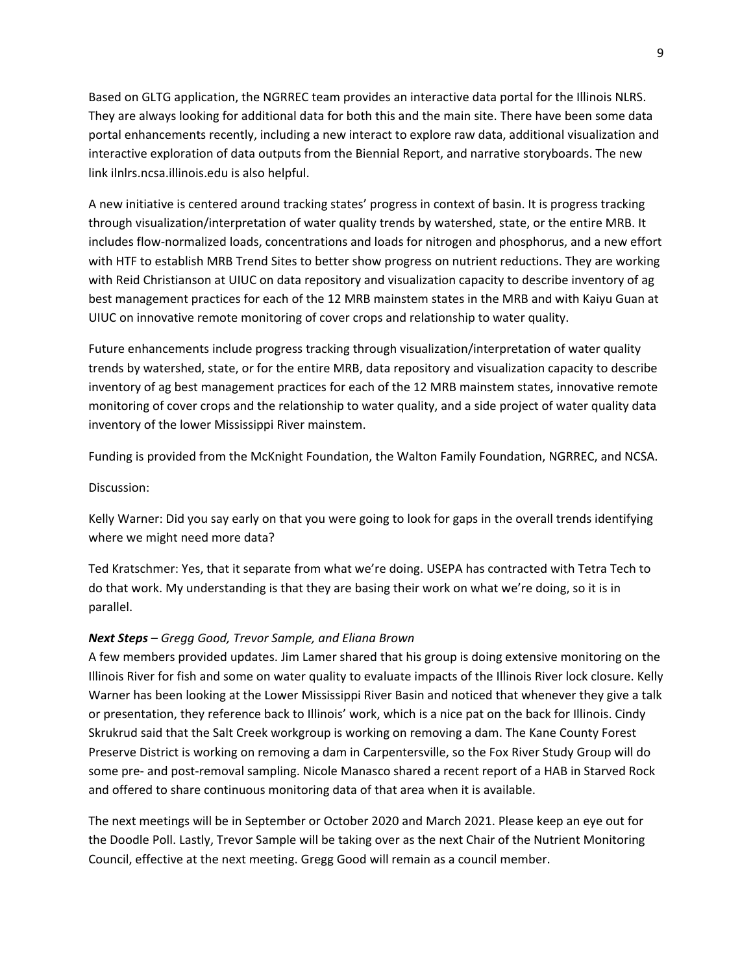Based on GLTG application, the NGRREC team provides an interactive data portal for the Illinois NLRS. They are always looking for additional data for both this and the main site. There have been some data portal enhancements recently, including a new interact to explore raw data, additional visualization and interactive exploration of data outputs from the Biennial Report, and narrative storyboards. The new link ilnlrs.ncsa.illinois.edu is also helpful.

A new initiative is centered around tracking states' progress in context of basin. It is progress tracking through visualization/interpretation of water quality trends by watershed, state, or the entire MRB. It includes flow-normalized loads, concentrations and loads for nitrogen and phosphorus, and a new effort with HTF to establish MRB Trend Sites to better show progress on nutrient reductions. They are working with Reid Christianson at UIUC on data repository and visualization capacity to describe inventory of ag best management practices for each of the 12 MRB mainstem states in the MRB and with Kaiyu Guan at UIUC on innovative remote monitoring of cover crops and relationship to water quality.

Future enhancements include progress tracking through visualization/interpretation of water quality trends by watershed, state, or for the entire MRB, data repository and visualization capacity to describe inventory of ag best management practices for each of the 12 MRB mainstem states, innovative remote monitoring of cover crops and the relationship to water quality, and a side project of water quality data inventory of the lower Mississippi River mainstem.

Funding is provided from the McKnight Foundation, the Walton Family Foundation, NGRREC, and NCSA.

Discussion:

Kelly Warner: Did you say early on that you were going to look for gaps in the overall trends identifying where we might need more data?

Ted Kratschmer: Yes, that it separate from what we're doing. USEPA has contracted with Tetra Tech to do that work. My understanding is that they are basing their work on what we're doing, so it is in parallel.

## *Next Steps – Gregg Good, Trevor Sample, and Eliana Brown*

A few members provided updates. Jim Lamer shared that his group is doing extensive monitoring on the Illinois River for fish and some on water quality to evaluate impacts of the Illinois River lock closure. Kelly Warner has been looking at the Lower Mississippi River Basin and noticed that whenever they give a talk or presentation, they reference back to Illinois' work, which is a nice pat on the back for Illinois. Cindy Skrukrud said that the Salt Creek workgroup is working on removing a dam. The Kane County Forest Preserve District is working on removing a dam in Carpentersville, so the Fox River Study Group will do some pre- and post-removal sampling. Nicole Manasco shared a recent report of a HAB in Starved Rock and offered to share continuous monitoring data of that area when it is available.

The next meetings will be in September or October 2020 and March 2021. Please keep an eye out for the Doodle Poll. Lastly, Trevor Sample will be taking over as the next Chair of the Nutrient Monitoring Council, effective at the next meeting. Gregg Good will remain as a council member.